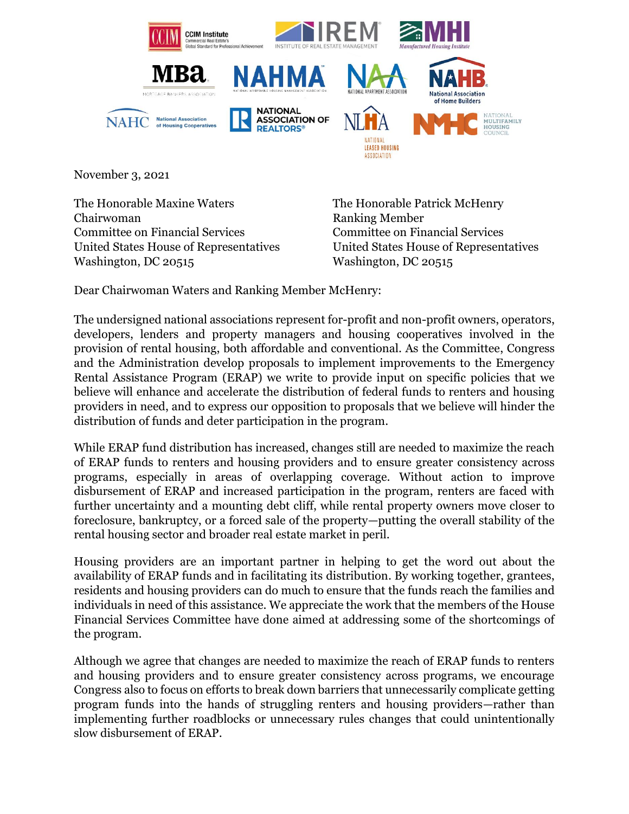

November 3, 2021

The Honorable Maxine Waters Chairwoman Committee on Financial Services United States House of Representatives Washington, DC 20515

The Honorable Patrick McHenry Ranking Member Committee on Financial Services United States House of Representatives Washington, DC 20515

Dear Chairwoman Waters and Ranking Member McHenry:

The undersigned national associations represent for-profit and non-profit owners, operators, developers, lenders and property managers and housing cooperatives involved in the provision of rental housing, both affordable and conventional. As the Committee, Congress and the Administration develop proposals to implement improvements to the Emergency Rental Assistance Program (ERAP) we write to provide input on specific policies that we believe will enhance and accelerate the distribution of federal funds to renters and housing providers in need, and to express our opposition to proposals that we believe will hinder the distribution of funds and deter participation in the program.

While ERAP fund distribution has increased, changes still are needed to maximize the reach of ERAP funds to renters and housing providers and to ensure greater consistency across programs, especially in areas of overlapping coverage. Without action to improve disbursement of ERAP and increased participation in the program, renters are faced with further uncertainty and a mounting debt cliff, while rental property owners move closer to foreclosure, bankruptcy, or a forced sale of the property—putting the overall stability of the rental housing sector and broader real estate market in peril.

Housing providers are an important partner in helping to get the word out about the availability of ERAP funds and in facilitating its distribution. By working together, grantees, residents and housing providers can do much to ensure that the funds reach the families and individuals in need of this assistance. We appreciate the work that the members of the House Financial Services Committee have done aimed at addressing some of the shortcomings of the program.

Although we agree that changes are needed to maximize the reach of ERAP funds to renters and housing providers and to ensure greater consistency across programs, we encourage Congress also to focus on efforts to break down barriers that unnecessarily complicate getting program funds into the hands of struggling renters and housing providers—rather than implementing further roadblocks or unnecessary rules changes that could unintentionally slow disbursement of ERAP.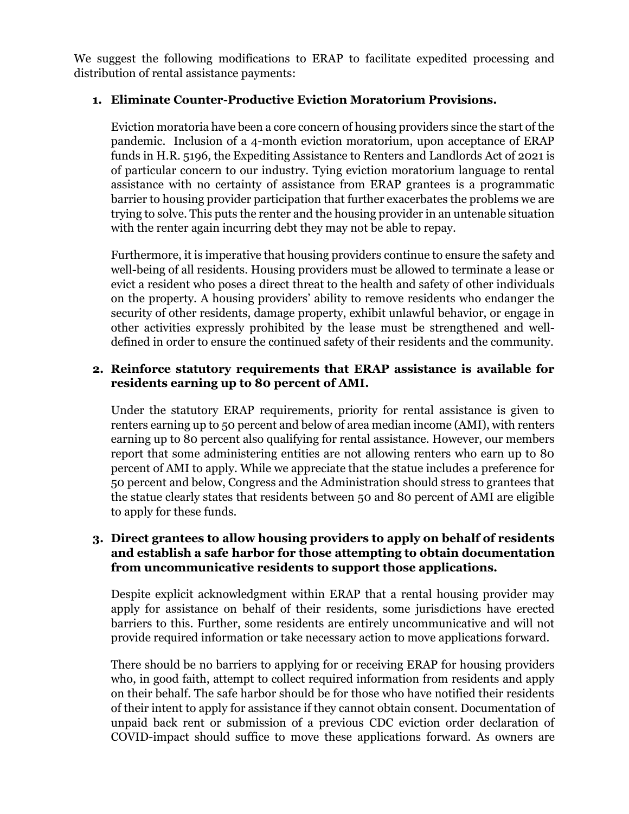We suggest the following modifications to ERAP to facilitate expedited processing and distribution of rental assistance payments:

# **1. Eliminate Counter-Productive Eviction Moratorium Provisions.**

Eviction moratoria have been a core concern of housing providers since the start of the pandemic. Inclusion of a 4-month eviction moratorium, upon acceptance of ERAP funds in H.R. 5196, the Expediting Assistance to Renters and Landlords Act of 2021 is of particular concern to our industry. Tying eviction moratorium language to rental assistance with no certainty of assistance from ERAP grantees is a programmatic barrier to housing provider participation that further exacerbates the problems we are trying to solve. This puts the renter and the housing provider in an untenable situation with the renter again incurring debt they may not be able to repay.

Furthermore, it is imperative that housing providers continue to ensure the safety and well-being of all residents. Housing providers must be allowed to terminate a lease or evict a resident who poses a direct threat to the health and safety of other individuals on the property. A housing providers' ability to remove residents who endanger the security of other residents, damage property, exhibit unlawful behavior, or engage in other activities expressly prohibited by the lease must be strengthened and welldefined in order to ensure the continued safety of their residents and the community.

# **2. Reinforce statutory requirements that ERAP assistance is available for residents earning up to 80 percent of AMI.**

Under the statutory ERAP requirements, priority for rental assistance is given to renters earning up to 50 percent and below of area median income (AMI), with renters earning up to 80 percent also qualifying for rental assistance. However, our members report that some administering entities are not allowing renters who earn up to 80 percent of AMI to apply. While we appreciate that the statue includes a preference for 50 percent and below, Congress and the Administration should stress to grantees that the statue clearly states that residents between 50 and 80 percent of AMI are eligible to apply for these funds.

### **3. Direct grantees to allow housing providers to apply on behalf of residents and establish a safe harbor for those attempting to obtain documentation from uncommunicative residents to support those applications.**

Despite explicit acknowledgment within ERAP that a rental housing provider may apply for assistance on behalf of their residents, some jurisdictions have erected barriers to this. Further, some residents are entirely uncommunicative and will not provide required information or take necessary action to move applications forward.

There should be no barriers to applying for or receiving ERAP for housing providers who, in good faith, attempt to collect required information from residents and apply on their behalf. The safe harbor should be for those who have notified their residents of their intent to apply for assistance if they cannot obtain consent. Documentation of unpaid back rent or submission of a previous CDC eviction order declaration of COVID-impact should suffice to move these applications forward. As owners are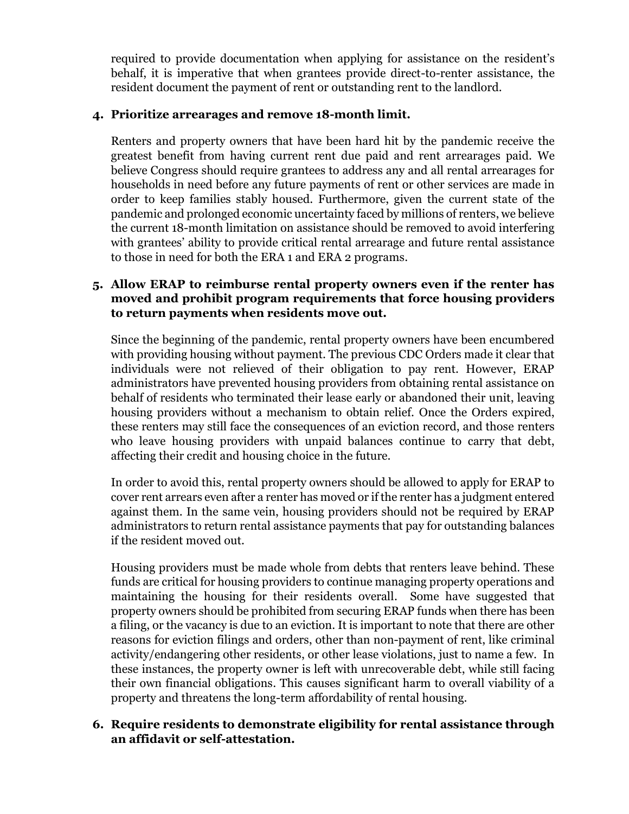required to provide documentation when applying for assistance on the resident's behalf, it is imperative that when grantees provide direct-to-renter assistance, the resident document the payment of rent or outstanding rent to the landlord.

# **4. Prioritize arrearages and remove 18-month limit.**

Renters and property owners that have been hard hit by the pandemic receive the greatest benefit from having current rent due paid and rent arrearages paid. We believe Congress should require grantees to address any and all rental arrearages for households in need before any future payments of rent or other services are made in order to keep families stably housed. Furthermore, given the current state of the pandemic and prolonged economic uncertainty faced by millions of renters, we believe the current 18-month limitation on assistance should be removed to avoid interfering with grantees' ability to provide critical rental arrearage and future rental assistance to those in need for both the ERA 1 and ERA 2 programs.

# **5. Allow ERAP to reimburse rental property owners even if the renter has moved and prohibit program requirements that force housing providers to return payments when residents move out.**

Since the beginning of the pandemic, rental property owners have been encumbered with providing housing without payment. The previous CDC Orders made it clear that individuals were not relieved of their obligation to pay rent. However, ERAP administrators have prevented housing providers from obtaining rental assistance on behalf of residents who terminated their lease early or abandoned their unit, leaving housing providers without a mechanism to obtain relief. Once the Orders expired, these renters may still face the consequences of an eviction record, and those renters who leave housing providers with unpaid balances continue to carry that debt, affecting their credit and housing choice in the future.

In order to avoid this, rental property owners should be allowed to apply for ERAP to cover rent arrears even after a renter has moved or if the renter has a judgment entered against them. In the same vein, housing providers should not be required by ERAP administrators to return rental assistance payments that pay for outstanding balances if the resident moved out.

Housing providers must be made whole from debts that renters leave behind. These funds are critical for housing providers to continue managing property operations and maintaining the housing for their residents overall. Some have suggested that property owners should be prohibited from securing ERAP funds when there has been a filing, or the vacancy is due to an eviction. It is important to note that there are other reasons for eviction filings and orders, other than non-payment of rent, like criminal activity/endangering other residents, or other lease violations, just to name a few. In these instances, the property owner is left with unrecoverable debt, while still facing their own financial obligations. This causes significant harm to overall viability of a property and threatens the long-term affordability of rental housing.

# **6. Require residents to demonstrate eligibility for rental assistance through an affidavit or self-attestation.**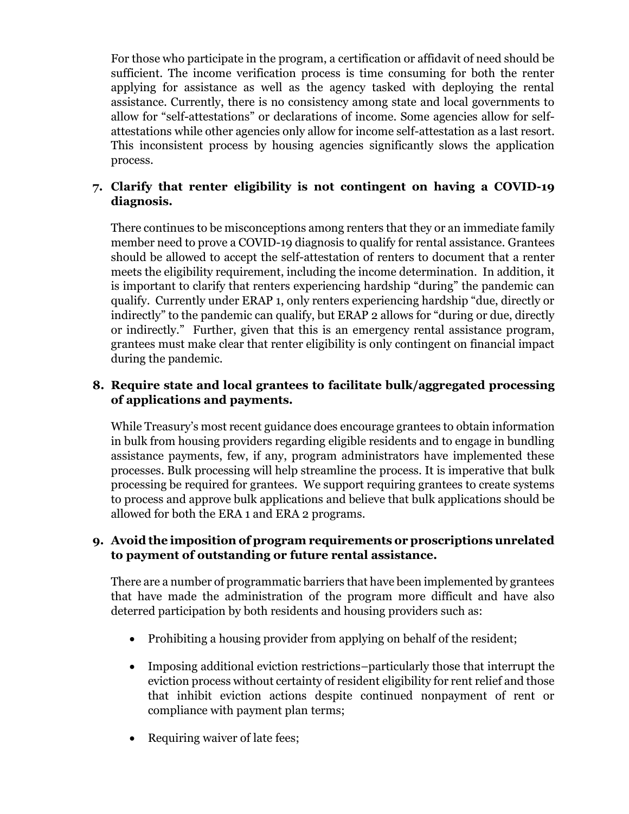For those who participate in the program, a certification or affidavit of need should be sufficient. The income verification process is time consuming for both the renter applying for assistance as well as the agency tasked with deploying the rental assistance. Currently, there is no consistency among state and local governments to allow for "self-attestations" or declarations of income. Some agencies allow for selfattestations while other agencies only allow for income self-attestation as a last resort. This inconsistent process by housing agencies significantly slows the application process.

# **7. Clarify that renter eligibility is not contingent on having a COVID-19 diagnosis.**

There continues to be misconceptions among renters that they or an immediate family member need to prove a COVID-19 diagnosis to qualify for rental assistance. Grantees should be allowed to accept the self-attestation of renters to document that a renter meets the eligibility requirement, including the income determination. In addition, it is important to clarify that renters experiencing hardship "during" the pandemic can qualify. Currently under ERAP 1, only renters experiencing hardship "due, directly or indirectly" to the pandemic can qualify, but ERAP 2 allows for "during or due, directly or indirectly." Further, given that this is an emergency rental assistance program, grantees must make clear that renter eligibility is only contingent on financial impact during the pandemic.

# **8. Require state and local grantees to facilitate bulk/aggregated processing of applications and payments.**

While Treasury's most recent guidance does encourage grantees to obtain information in bulk from housing providers regarding eligible residents and to engage in bundling assistance payments, few, if any, program administrators have implemented these processes. Bulk processing will help streamline the process. It is imperative that bulk processing be required for grantees. We support requiring grantees to create systems to process and approve bulk applications and believe that bulk applications should be allowed for both the ERA 1 and ERA 2 programs.

### **9. Avoid the imposition of program requirements or proscriptions unrelated to payment of outstanding or future rental assistance.**

There are a number of programmatic barriers that have been implemented by grantees that have made the administration of the program more difficult and have also deterred participation by both residents and housing providers such as:

- Prohibiting a housing provider from applying on behalf of the resident;
- Imposing additional eviction restrictions–particularly those that interrupt the eviction process without certainty of resident eligibility for rent relief and those that inhibit eviction actions despite continued nonpayment of rent or compliance with payment plan terms;
- Requiring waiver of late fees;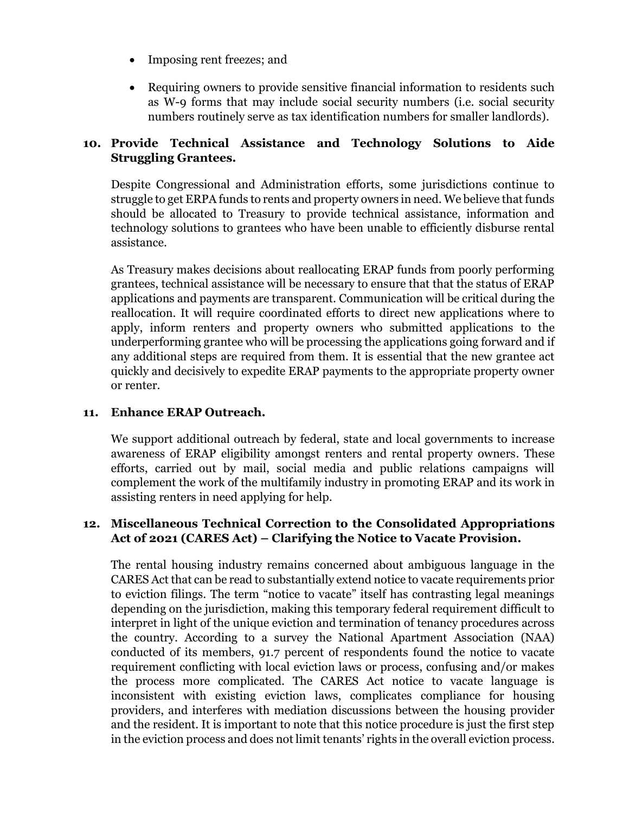- Imposing rent freezes; and
- Requiring owners to provide sensitive financial information to residents such as W-9 forms that may include social security numbers (i.e. social security numbers routinely serve as tax identification numbers for smaller landlords).

# **10. Provide Technical Assistance and Technology Solutions to Aide Struggling Grantees.**

Despite Congressional and Administration efforts, some jurisdictions continue to struggle to get ERPA funds to rents and property owners in need. We believe that funds should be allocated to Treasury to provide technical assistance, information and technology solutions to grantees who have been unable to efficiently disburse rental assistance.

As Treasury makes decisions about reallocating ERAP funds from poorly performing grantees, technical assistance will be necessary to ensure that that the status of ERAP applications and payments are transparent. Communication will be critical during the reallocation. It will require coordinated efforts to direct new applications where to apply, inform renters and property owners who submitted applications to the underperforming grantee who will be processing the applications going forward and if any additional steps are required from them. It is essential that the new grantee act quickly and decisively to expedite ERAP payments to the appropriate property owner or renter.

# **11. Enhance ERAP Outreach.**

We support additional outreach by federal, state and local governments to increase awareness of ERAP eligibility amongst renters and rental property owners. These efforts, carried out by mail, social media and public relations campaigns will complement the work of the multifamily industry in promoting ERAP and its work in assisting renters in need applying for help.

### **12. Miscellaneous Technical Correction to the Consolidated Appropriations Act of 2021 (CARES Act) – Clarifying the Notice to Vacate Provision.**

The rental housing industry remains concerned about ambiguous language in the CARES Act that can be read to substantially extend notice to vacate requirements prior to eviction filings. The term "notice to vacate" itself has contrasting legal meanings depending on the jurisdiction, making this temporary federal requirement difficult to interpret in light of the unique eviction and termination of tenancy procedures across the country. According to a survey the National Apartment Association (NAA) conducted of its members, 91.7 percent of respondents found the notice to vacate requirement conflicting with local eviction laws or process, confusing and/or makes the process more complicated. The CARES Act notice to vacate language is inconsistent with existing eviction laws, complicates compliance for housing providers, and interferes with mediation discussions between the housing provider and the resident. It is important to note that this notice procedure is just the first step in the eviction process and does not limit tenants' rights in the overall eviction process.